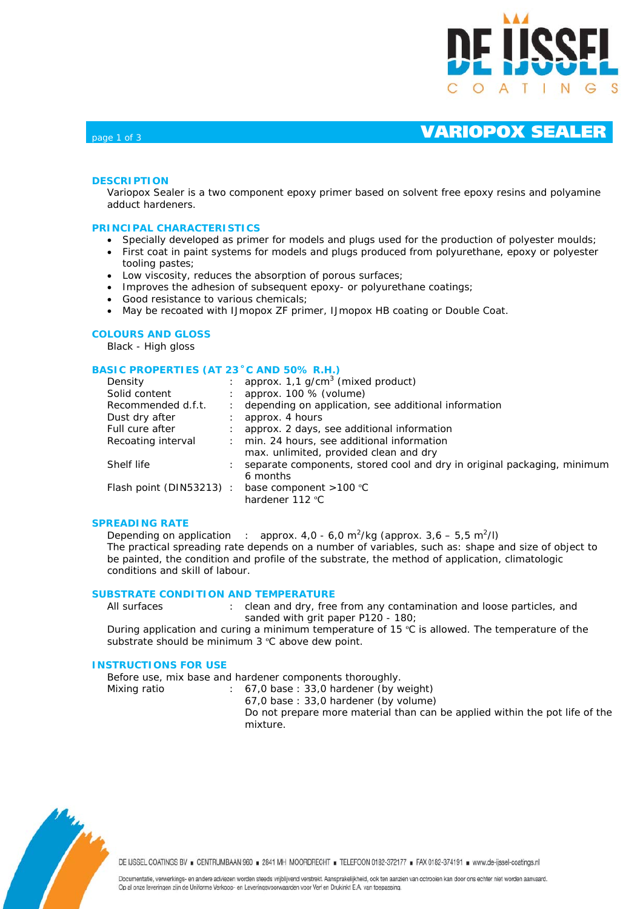

# page 1 of 3 **VARIOPOX SEALER**

## **DESCRIPTION**

Variopox Sealer is a two component epoxy primer based on solvent free epoxy resins and polyamine adduct hardeners.

### **PRINCIPAL CHARACTERISTICS**

- Specially developed as primer for models and plugs used for the production of polyester moulds;
- First coat in paint systems for models and plugs produced from polyurethane, epoxy or polyester tooling pastes;
- Low viscosity, reduces the absorption of porous surfaces;
- Improves the adhesion of subsequent epoxy- or polyurethane coatings;
- Good resistance to various chemicals;
- May be recoated with IJmopox ZF primer, IJmopox HB coating or Double Coat.

### **COLOURS AND GLOSS**

Black - High gloss

### **BASIC PROPERTIES (AT 23˚C AND 50% R.H.)**

| Density                 | approx. $1.1$ g/cm <sup>3</sup> (mixed product)                         |
|-------------------------|-------------------------------------------------------------------------|
| Solid content           | approx. 100 % (volume)                                                  |
| Recommended d.f.t.      | depending on application, see additional information                    |
| Dust dry after          | approx. 4 hours                                                         |
| Full cure after         | approx. 2 days, see additional information                              |
| Recoating interval      | min. 24 hours, see additional information                               |
|                         | max. unlimited, provided clean and dry                                  |
| Shelf life              | separate components, stored cool and dry in original packaging, minimum |
|                         | 6 months                                                                |
| Flash point (DIN53213): | base component $>100$ °C                                                |
|                         | hardener 112 °C                                                         |

### **SPREADING RATE**

Depending on application : approx.  $4.0 - 6.0$  m<sup>2</sup>/kg (approx.  $3.6 - 5.5$  m<sup>2</sup>/l) The practical spreading rate depends on a number of variables, such as: shape and size of object to be painted, the condition and profile of the substrate, the method of application, climatologic conditions and skill of labour.

### **SUBSTRATE CONDITION AND TEMPERATURE**

All surfaces : clean and dry, free from any contamination and loose particles, and sanded with grit paper P120 - 180;

During application and curing a minimum temperature of 15 ºC is allowed. The temperature of the substrate should be minimum 3 °C above dew point.

### **INSTRUCTIONS FOR USE**

Before use, mix base and hardener components thoroughly.

Mixing ratio : 67,0 base : 33,0 hardener (by weight) 67,0 base : 33,0 hardener (by volume) Do not prepare more material than can be applied within the pot life of the mixture.



DE IJSSEL COATINGS BV E CENTRUMBAAN 960 = 2841 MH MOORDRECHT = TELEFOON 0182-372177 = FAX 0182-374191 = www.de-ijssel-coatings.nl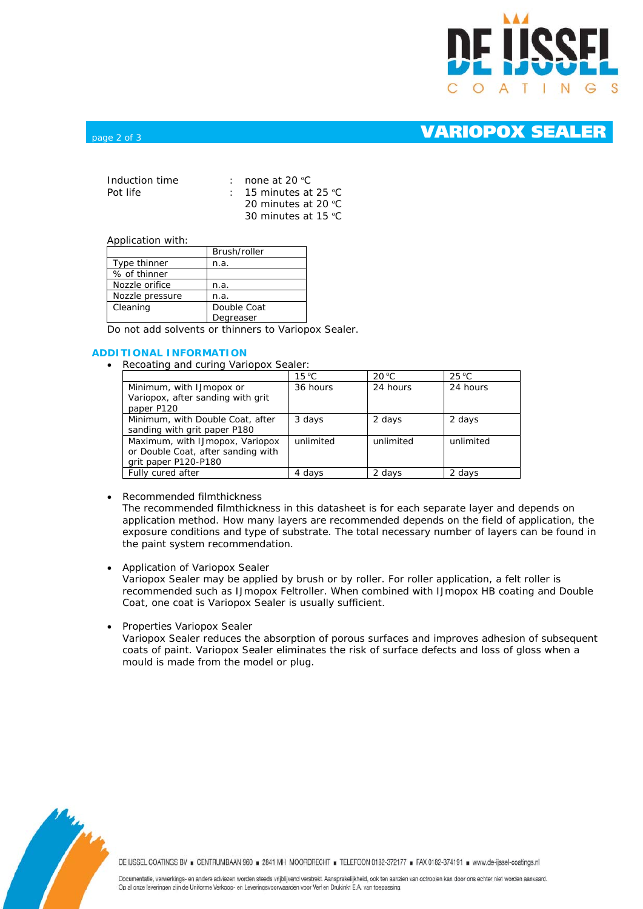

## page 2 of 3 **VARIOPOX SEALER**

| Induction time | : none at 20 $^{\circ}$ C       |
|----------------|---------------------------------|
| Pot life       | : 15 minutes at 25 $^{\circ}$ C |
|                | 20 minutes at 20 °C             |
|                | 30 minutes at 15 $°C$           |

### Application with:

|                 | Brush/roller |  |
|-----------------|--------------|--|
| Type thinner    | n.a.         |  |
| % of thinner    |              |  |
| Nozzle orifice  | n.a.         |  |
| Nozzle pressure | n.a.         |  |
| Cleaning        | Double Coat  |  |
|                 | Degreaser    |  |

Do not add solvents or thinners to Variopox Sealer.

### **ADDITIONAL INFORMATION**

• Recoating and curing Variopox Sealer:

|                                    | $15^{\circ}$ C | $20^{\circ}$ C | $25^{\circ}$ C |
|------------------------------------|----------------|----------------|----------------|
| Minimum, with IJmopox or           | 36 hours       | 24 hours       | 24 hours       |
| Variopox, after sanding with grit  |                |                |                |
| paper P120                         |                |                |                |
| Minimum, with Double Coat, after   | 3 days         | 2 days         | 2 days         |
| sanding with grit paper P180       |                |                |                |
| Maximum, with IJmopox, Variopox    | unlimited      | unlimited      | unlimited      |
| or Double Coat, after sanding with |                |                |                |
| grit paper P120-P180               |                |                |                |
| Fully cured after                  | 4 days         | 2 days         | 2 days         |

• Recommended filmthickness

The recommended filmthickness in this datasheet is for each separate layer and depends on application method. How many layers are recommended depends on the field of application, the exposure conditions and type of substrate. The total necessary number of layers can be found in the paint system recommendation.

• Application of Variopox Sealer

Variopox Sealer may be applied by brush or by roller. For roller application, a felt roller is recommended such as IJmopox Feltroller. When combined with IJmopox HB coating and Double Coat, one coat is Variopox Sealer is usually sufficient.

• Properties Variopox Sealer

Variopox Sealer reduces the absorption of porous surfaces and improves adhesion of subsequent coats of paint. Variopox Sealer eliminates the risk of surface defects and loss of gloss when a mould is made from the model or plug.